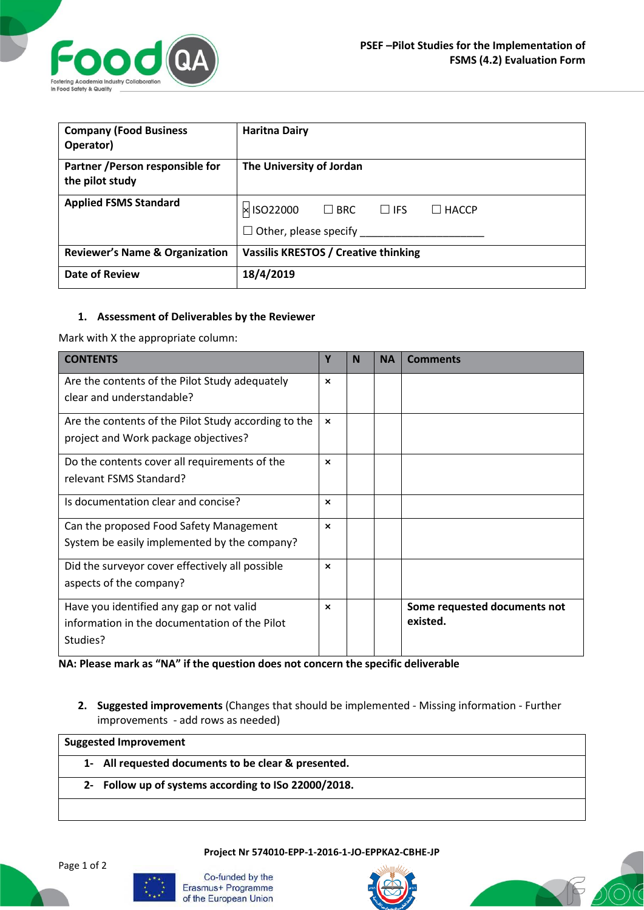

| <b>Company (Food Business</b><br>Operator)          | <b>Haritna Dairy</b>                                                                      |  |  |  |
|-----------------------------------------------------|-------------------------------------------------------------------------------------------|--|--|--|
| Partner / Person responsible for<br>the pilot study | The University of Jordan                                                                  |  |  |  |
| <b>Applied FSMS Standard</b>                        | × ISO22000<br>$\square$ BRC<br>$\Box$ IFS<br>$\Box$ HACCP<br>$\Box$ Other, please specify |  |  |  |
| <b>Reviewer's Name &amp; Organization</b>           | Vassilis KRESTOS / Creative thinking                                                      |  |  |  |
| <b>Date of Review</b>                               | 18/4/2019                                                                                 |  |  |  |

## **1. Assessment of Deliverables by the Reviewer**

Mark with X the appropriate column:

| <b>CONTENTS</b>                                      | Υ                         | N | <b>NA</b> | <b>Comments</b>              |
|------------------------------------------------------|---------------------------|---|-----------|------------------------------|
| Are the contents of the Pilot Study adequately       | $\boldsymbol{\mathsf{x}}$ |   |           |                              |
| clear and understandable?                            |                           |   |           |                              |
| Are the contents of the Pilot Study according to the | $\boldsymbol{\mathsf{x}}$ |   |           |                              |
| project and Work package objectives?                 |                           |   |           |                              |
| Do the contents cover all requirements of the        | $\boldsymbol{\mathsf{x}}$ |   |           |                              |
| relevant FSMS Standard?                              |                           |   |           |                              |
| Is documentation clear and concise?                  | $\boldsymbol{\mathsf{x}}$ |   |           |                              |
| Can the proposed Food Safety Management              | $\boldsymbol{\mathsf{x}}$ |   |           |                              |
| System be easily implemented by the company?         |                           |   |           |                              |
| Did the surveyor cover effectively all possible      | $\boldsymbol{\mathsf{x}}$ |   |           |                              |
| aspects of the company?                              |                           |   |           |                              |
| Have you identified any gap or not valid             | $\boldsymbol{\mathsf{x}}$ |   |           | Some requested documents not |
| information in the documentation of the Pilot        |                           |   |           | existed.                     |
| Studies?                                             |                           |   |           |                              |

**NA: Please mark as "NA" if the question does not concern the specific deliverable**

**2. Suggested improvements** (Changes that should be implemented - Missing information - Further improvements - add rows as needed)

**Suggested Improvement 1- All requested documents to be clear & presented. 2- Follow up of systems according to ISo 22000/2018.**

**Project Nr 574010-EPP-1-2016-1-JO-EPPKA2-CBHE-JP**



Co-funded by the Erasmus+ Programme of the European Union